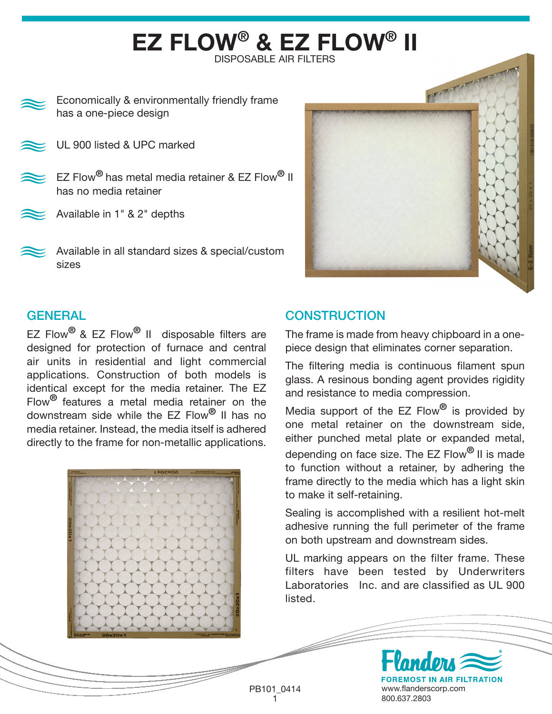## EZ FLOW® & EZ FLOW® II DISPOSABLE AIR FILTERS

Economically & environmentally friendly frame has a one-piece design

UL 900 listed & UPC marked

- EZ Flow<sup>®</sup> has metal media retainer & EZ Flow<sup>®</sup> II has no media retainer
- Available in 1" & 2" depths
- Available in all standard sizes & special/custom sizes



## **GENERAL**

EZ Flow<sup>®</sup> & EZ Flow<sup>®</sup> II disposable filters are designed for protection of furnace and central air units in residential and light commercial applications. Construction of both models is identical except for the media retainer. The EZ Flow<sup>®</sup> features a metal media retainer on the downstream side while the EZ Flow® II has no media retainer. Instead, the media itself is adhered directly to the frame for non-metallic applications.



## **CONSTRUCTION**

The frame is made from heavy chipboard in a onepiece design that eliminates corner separation.

The filtering media is continuous filament spun glass. A resinous bonding agent provides rigidity and resistance to media compression.

Media support of the  $EZ$  Flow $^{\circledR}$  is provided by one metal retainer on the downstream side, either punched metal plate or expanded metal, depending on face size. The EZ Flow<sup>®</sup> II is made to function without a retainer, by adhering the frame directly to the media which has a light skin to make it self-retaining.

Sealing is accomplished with a resilient hot-melt adhesive running the full perimeter of the frame on both upstream and downstream sides.

UL marking appears on the filter frame. These filters have been tested by Underwriters Laboratories Inc. and are classified as UL 900 listed.

**FOREMOST IN AIR FILTRATION** PB101\_0414 www.flanderscorp.com 1 800.637.2803